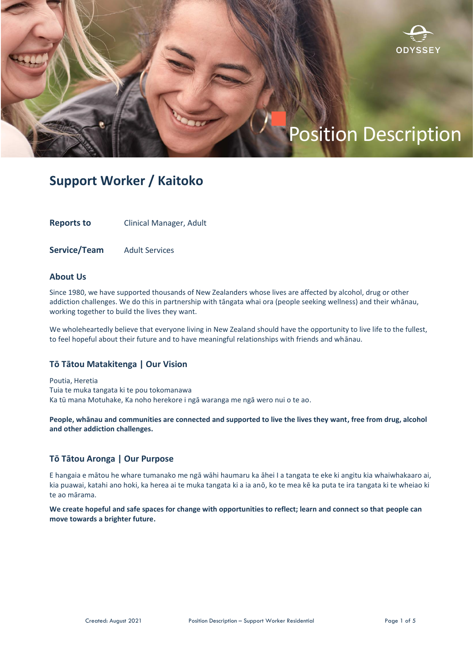

# Position Description

## **Support Worker / Kaitoko**

**Reports to** Clinical Manager, Adult

**Service/Team** Adult Services

## **About Us**

Since 1980, we have supported thousands of New Zealanders whose lives are affected by alcohol, drug or other addiction challenges. We do this in partnership with tāngata whai ora (people seeking wellness) and their whānau, working together to build the lives they want.

We wholeheartedly believe that everyone living in New Zealand should have the opportunity to live life to the fullest, to feel hopeful about their future and to have meaningful relationships with friends and whānau.

### **Tō Tātou Matakitenga | Our Vision**

Poutia, Heretia Tuia te muka tangata ki te pou tokomanawa Ka tū mana Motuhake, Ka noho herekore i ngā waranga me ngā wero nui o te ao.

**People, whānau and communities are connected and supported to live the lives they want, free from drug, alcohol and other addiction challenges.**

## **Tō Tātou Aronga | Our Purpose**

E hangaia e mātou he whare tumanako me ngā wāhi haumaru ka āhei I a tangata te eke ki angitu kia whaiwhakaaro ai, kia puawai, katahi ano hoki, ka herea ai te muka tangata ki a ia anō, ko te mea kē ka puta te ira tangata ki te wheiao ki te ao mārama.

**We create hopeful and safe spaces for change with opportunities to reflect; learn and connect so that people can move towards a brighter future.**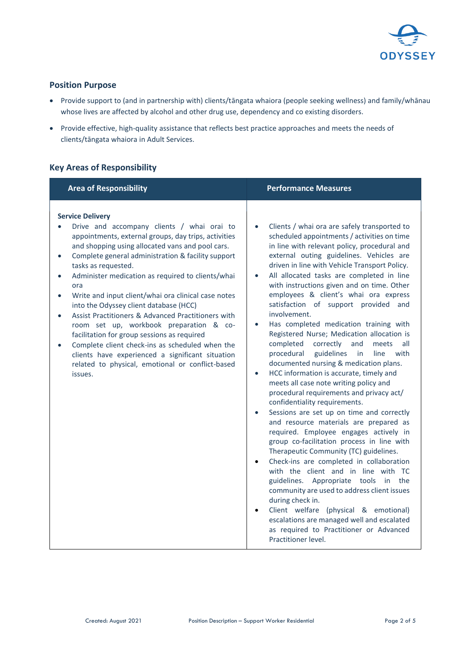

## **Position Purpose**

- Provide support to (and in partnership with) clients/tāngata whaiora (people seeking wellness) and family/whānau whose lives are affected by alcohol and other drug use, dependency and co existing disorders.
- Provide effective, high-quality assistance that reflects best practice approaches and meets the needs of clients/tāngata whaiora in Adult Services.

## **Key Areas of Responsibility**

| <b>Area of Responsibility</b>                                                                                                                                                                                                                                                                                                                                                                                                                                                                                                                                                                                                                                                                                                                                                                         | <b>Performance Measures</b>                                                                                                                                                                                                                                                                                                                                                                                                                                                                                                                                                                                                                                                                                                                                                                                                                                                                                                                                                                                                                                                                                                                                                                                                                                                                                                                                                                                                                                                                                            |
|-------------------------------------------------------------------------------------------------------------------------------------------------------------------------------------------------------------------------------------------------------------------------------------------------------------------------------------------------------------------------------------------------------------------------------------------------------------------------------------------------------------------------------------------------------------------------------------------------------------------------------------------------------------------------------------------------------------------------------------------------------------------------------------------------------|------------------------------------------------------------------------------------------------------------------------------------------------------------------------------------------------------------------------------------------------------------------------------------------------------------------------------------------------------------------------------------------------------------------------------------------------------------------------------------------------------------------------------------------------------------------------------------------------------------------------------------------------------------------------------------------------------------------------------------------------------------------------------------------------------------------------------------------------------------------------------------------------------------------------------------------------------------------------------------------------------------------------------------------------------------------------------------------------------------------------------------------------------------------------------------------------------------------------------------------------------------------------------------------------------------------------------------------------------------------------------------------------------------------------------------------------------------------------------------------------------------------------|
| <b>Service Delivery</b><br>Drive and accompany clients / whai orai to<br>appointments, external groups, day trips, activities<br>and shopping using allocated vans and pool cars.<br>Complete general administration & facility support<br>$\bullet$<br>tasks as requested.<br>Administer medication as required to clients/whai<br>$\bullet$<br>ora<br>Write and input client/whai ora clinical case notes<br>$\bullet$<br>into the Odyssey client database (HCC)<br>Assist Practitioners & Advanced Practitioners with<br>$\bullet$<br>room set up, workbook preparation & co-<br>facilitation for group sessions as required<br>Complete client check-ins as scheduled when the<br>clients have experienced a significant situation<br>related to physical, emotional or conflict-based<br>issues. | Clients / whai ora are safely transported to<br>$\bullet$<br>scheduled appointments / activities on time<br>in line with relevant policy, procedural and<br>external outing guidelines. Vehicles are<br>driven in line with Vehicle Transport Policy.<br>All allocated tasks are completed in line<br>$\bullet$<br>with instructions given and on time. Other<br>employees & client's whai ora express<br>satisfaction of support provided and<br>involvement.<br>Has completed medication training with<br>$\bullet$<br>Registered Nurse; Medication allocation is<br>completed<br>correctly<br>and<br>meets<br>all<br>procedural<br>guidelines<br>with<br>in<br>line<br>documented nursing & medication plans.<br>HCC information is accurate, timely and<br>$\bullet$<br>meets all case note writing policy and<br>procedural requirements and privacy act/<br>confidentiality requirements.<br>Sessions are set up on time and correctly<br>$\bullet$<br>and resource materials are prepared as<br>required. Employee engages actively in<br>group co-facilitation process in line with<br>Therapeutic Community (TC) guidelines.<br>Check-ins are completed in collaboration<br>$\bullet$<br>with the client and in line with TC<br>guidelines. Appropriate tools in the<br>community are used to address client issues<br>during check in.<br>Client welfare (physical & emotional)<br>$\bullet$<br>escalations are managed well and escalated<br>as required to Practitioner or Advanced<br>Practitioner level. |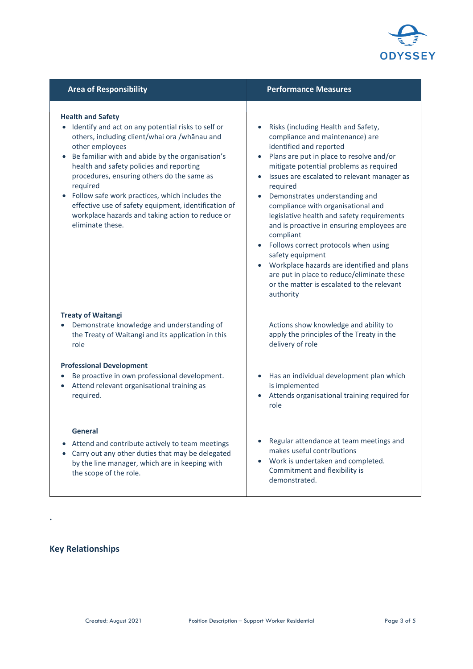

| <b>Area of Responsibility</b>                                                                                                                                                                                                                                                                                                                                                                                                                                                                                 | <b>Performance Measures</b>                                                                                                                                                                                                                                                                                                                                                                                                                                                                                                                                                                                                                                                                    |
|---------------------------------------------------------------------------------------------------------------------------------------------------------------------------------------------------------------------------------------------------------------------------------------------------------------------------------------------------------------------------------------------------------------------------------------------------------------------------------------------------------------|------------------------------------------------------------------------------------------------------------------------------------------------------------------------------------------------------------------------------------------------------------------------------------------------------------------------------------------------------------------------------------------------------------------------------------------------------------------------------------------------------------------------------------------------------------------------------------------------------------------------------------------------------------------------------------------------|
| <b>Health and Safety</b><br>Identify and act on any potential risks to self or<br>$\bullet$<br>others, including client/whai ora /whānau and<br>other employees<br>Be familiar with and abide by the organisation's<br>health and safety policies and reporting<br>procedures, ensuring others do the same as<br>required<br>• Follow safe work practices, which includes the<br>effective use of safety equipment, identification of<br>workplace hazards and taking action to reduce or<br>eliminate these. | Risks (including Health and Safety,<br>compliance and maintenance) are<br>identified and reported<br>Plans are put in place to resolve and/or<br>$\bullet$<br>mitigate potential problems as required<br>Issues are escalated to relevant manager as<br>$\bullet$<br>required<br>Demonstrates understanding and<br>$\bullet$<br>compliance with organisational and<br>legislative health and safety requirements<br>and is proactive in ensuring employees are<br>compliant<br>Follows correct protocols when using<br>safety equipment<br>Workplace hazards are identified and plans<br>are put in place to reduce/eliminate these<br>or the matter is escalated to the relevant<br>authority |
| <b>Treaty of Waitangi</b><br>Demonstrate knowledge and understanding of<br>the Treaty of Waitangi and its application in this<br>role                                                                                                                                                                                                                                                                                                                                                                         | Actions show knowledge and ability to<br>apply the principles of the Treaty in the<br>delivery of role                                                                                                                                                                                                                                                                                                                                                                                                                                                                                                                                                                                         |
| <b>Professional Development</b><br>Be proactive in own professional development.<br>Attend relevant organisational training as<br>$\bullet$<br>required.                                                                                                                                                                                                                                                                                                                                                      | Has an individual development plan which<br>$\bullet$<br>is implemented<br>Attends organisational training required for<br>role                                                                                                                                                                                                                                                                                                                                                                                                                                                                                                                                                                |
| <b>General</b><br>Attend and contribute actively to team meetings<br>Carry out any other duties that may be delegated<br>by the line manager, which are in keeping with<br>the scope of the role.                                                                                                                                                                                                                                                                                                             | Regular attendance at team meetings and<br>makes useful contributions<br>Work is undertaken and completed.<br>$\bullet$<br>Commitment and flexibility is<br>demonstrated.                                                                                                                                                                                                                                                                                                                                                                                                                                                                                                                      |

## **Key Relationships**

**.**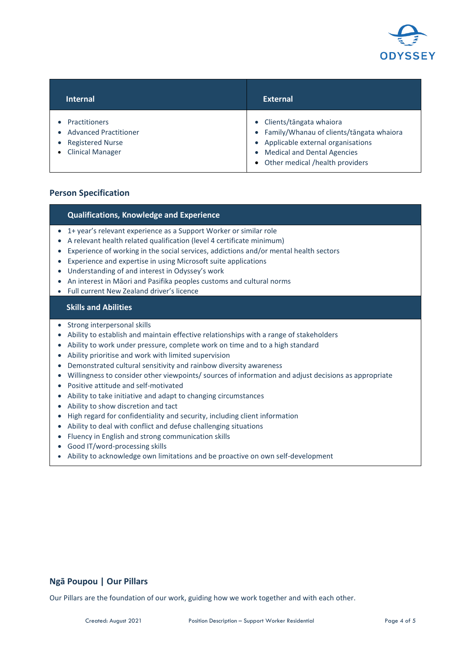

| <b>Internal</b>         | <b>External</b>                            |
|-------------------------|--------------------------------------------|
| <b>Practitioners</b>    | • Clients/tāngata whaiora                  |
| $\bullet$               | • Family/Whanau of clients/tāngata whaiora |
| • Advanced Practitioner | • Applicable external organisations        |
| <b>Registered Nurse</b> | • Medical and Dental Agencies              |
| • Clinical Manager      | • Other medical /health providers          |

## **Person Specification**

### **Qualifications, Knowledge and Experience**

- 1+ year's relevant experience as a Support Worker or similar role
- A relevant health related qualification (level 4 certificate minimum)
- Experience of working in the social services, addictions and/or mental health sectors
- Experience and expertise in using Microsoft suite applications
- Understanding of and interest in Odyssey's work
- An interest in Māori and Pasifika peoples customs and cultural norms
- Full current New Zealand driver's licence

## **Skills and Abilities**

- Strong interpersonal skills
- Ability to establish and maintain effective relationships with a range of stakeholders
- Ability to work under pressure, complete work on time and to a high standard
- Ability prioritise and work with limited supervision
- Demonstrated cultural sensitivity and rainbow diversity awareness
- Willingness to consider other viewpoints/ sources of information and adjust decisions as appropriate
- Positive attitude and self-motivated
- Ability to take initiative and adapt to changing circumstances
- Ability to show discretion and tact
- High regard for confidentiality and security, including client information
- Ability to deal with conflict and defuse challenging situations
- Fluency in English and strong communication skills
- Good IT/word-processing skills
- Ability to acknowledge own limitations and be proactive on own self-development

## **Ngā Poupou | Our Pillars**

Our Pillars are the foundation of our work, guiding how we work together and with each other.